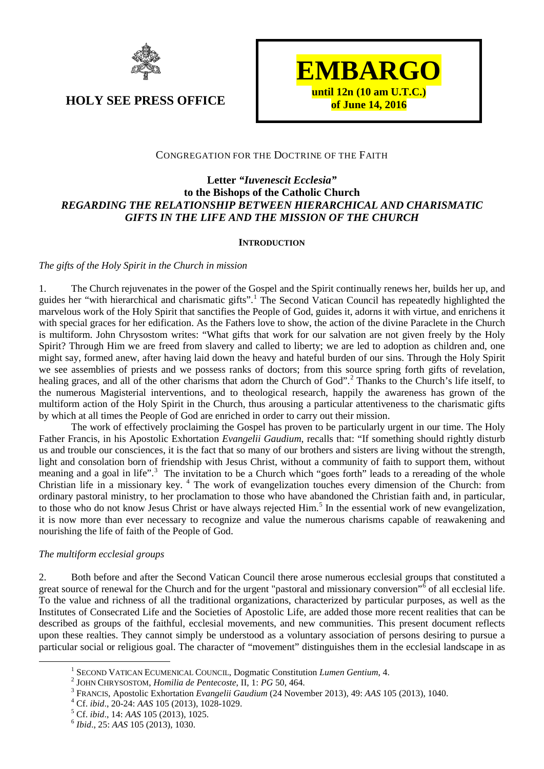



# CONGREGATION FOR THE DOCTRINE OF THE FAITH

# **Letter** *"Iuvenescit Ecclesia"* **to the Bishops of the Catholic Church** *REGARDING THE RELATIONSHIP BETWEEN HIERARCHICAL AND CHARISMATIC GIFTS IN THE LIFE AND THE MISSION OF THE CHURCH*

## **INTRODUCTION**

### *The gifts of the Holy Spirit in the Church in mission*

1. The Church rejuvenates in the power of the Gospel and the Spirit continually renews her, builds her up, and guides her "with hierarchical and charismatic gifts".[1](#page-0-0) The Second Vatican Council has repeatedly highlighted the marvelous work of the Holy Spirit that sanctifies the People of God, guides it, adorns it with virtue, and enrichens it with special graces for her edification. As the Fathers love to show, the action of the divine Paraclete in the Church is multiform. John Chrysostom writes: "What gifts that work for our salvation are not given freely by the Holy Spirit? Through Him we are freed from slavery and called to liberty; we are led to adoption as children and, one might say, formed anew, after having laid down the heavy and hateful burden of our sins. Through the Holy Spirit we see assemblies of priests and we possess ranks of doctors; from this source spring forth gifts of revelation, healing graces, and all of the other charisms that adorn the Church of God".<sup>[2](#page-0-1)</sup> Thanks to the Church's life itself, to the numerous Magisterial interventions, and to theological research, happily the awareness has grown of the multiform action of the Holy Spirit in the Church, thus arousing a particular attentiveness to the charismatic gifts by which at all times the People of God are enriched in order to carry out their mission.

The work of effectively proclaiming the Gospel has proven to be particularly urgent in our time. The Holy Father Francis, in his Apostolic Exhortation *Evangelii Gaudium*, recalls that: "If something should rightly disturb us and trouble our consciences, it is the fact that so many of our brothers and sisters are living without the strength, light and consolation born of friendship with Jesus Christ, without a community of faith to support them, without meaning and a goal in life".<sup>[3](#page-0-2)</sup> The invitation to be a Church which "goes forth" leads to a rereading of the whole Christian life in a missionary key. [4](#page-0-3) The work of evangelization touches every dimension of the Church: from ordinary pastoral ministry, to her proclamation to those who have abandoned the Christian faith and, in particular, to those who do not know Jesus Christ or have always rejected Him.<sup>[5](#page-0-4)</sup> In the essential work of new evangelization, it is now more than ever necessary to recognize and value the numerous charisms capable of reawakening and nourishing the life of faith of the People of God.

# *The multiform ecclesial groups*

2. Both before and after the Second Vatican Council there arose numerous ecclesial groups that constituted a great source of renewal for the Church and for the urgent "pastoral and missionary conversion"<sup> $\delta$ </sup> of all ecclesial life. To the value and richness of all the traditional organizations, characterized by particular purposes, as well as the Institutes of Consecrated Life and the Societies of Apostolic Life, are added those more recent realities that can be described as groups of the faithful, ecclesial movements, and new communities. This present document reflects upon these realties. They cannot simply be understood as a voluntary association of persons desiring to pursue a particular social or religious goal. The character of "movement" distinguishes them in the ecclesial landscape in as

<span id="page-0-2"></span><span id="page-0-1"></span>

<span id="page-0-0"></span><sup>&</sup>lt;sup>1</sup> SECOND VATICAN ECUMENICAL COUNCIL, Dogmatic Constitution *Lumen Gentium*, 4.<br><sup>2</sup> JOHN CHRYSOSTOM, *Homilia de Pentecoste*, II, 1: *PG* 50, 464.<br><sup>3</sup> FRANCIS, Apostolic Exhortation *Evangelii Gaudium* (24 November 2013)

<span id="page-0-3"></span>

<span id="page-0-4"></span>

<span id="page-0-5"></span>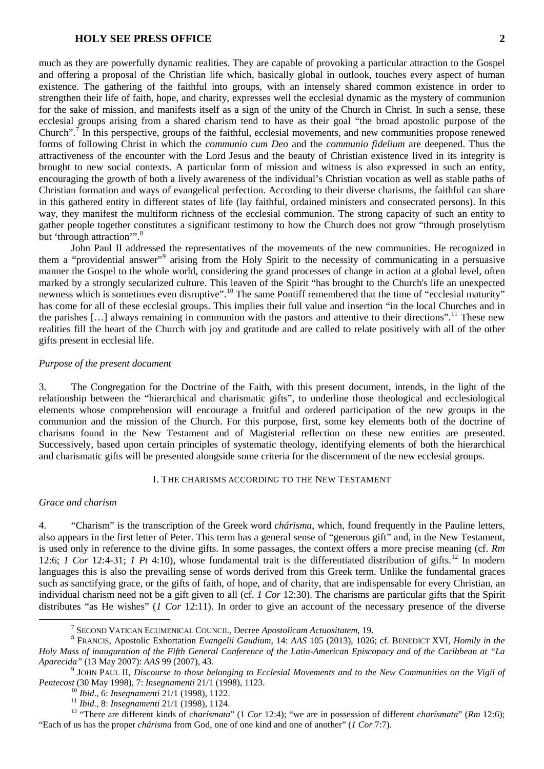much as they are powerfully dynamic realities. They are capable of provoking a particular attraction to the Gospel and offering a proposal of the Christian life which, basically global in outlook, touches every aspect of human existence. The gathering of the faithful into groups, with an intensely shared common existence in order to strengthen their life of faith, hope, and charity, expresses well the ecclesial dynamic as the mystery of communion for the sake of mission, and manifests itself as a sign of the unity of the Church in Christ. In such a sense, these ecclesial groups arising from a shared charism tend to have as their goal "the broad apostolic purpose of the Church".[7](#page-1-0) In this perspective, groups of the faithful, ecclesial movements, and new communities propose renewed forms of following Christ in which the *communio cum Deo* and the *communio fidelium* are deepened. Thus the attractiveness of the encounter with the Lord Jesus and the beauty of Christian existence lived in its integrity is brought to new social contexts. A particular form of mission and witness is also expressed in such an entity, encouraging the growth of both a lively awareness of the individual's Christian vocation as well as stable paths of Christian formation and ways of evangelical perfection. According to their diverse charisms, the faithful can share in this gathered entity in different states of life (lay faithful, ordained ministers and consecrated persons). In this way, they manifest the multiform richness of the ecclesial communion. The strong capacity of such an entity to gather people together constitutes a significant testimony to how the Church does not grow "through proselytism but 'through attraction'".<sup>[8](#page-1-1)</sup>

John Paul II addressed the representatives of the movements of the new communities. He recognized in them a "providential answer"[9](#page-1-2) arising from the Holy Spirit to the necessity of communicating in a persuasive manner the Gospel to the whole world, considering the grand processes of change in action at a global level, often marked by a strongly secularized culture. This leaven of the Spirit "has brought to the Church's life an unexpected newness which is sometimes even disruptive".<sup>[10](#page-1-3)</sup> The same Pontiff remembered that the time of "ecclesial maturity" has come for all of these ecclesial groups. This implies their full value and insertion "in the local Churches and in the parishes […] always remaining in communion with the pastors and attentive to their directions".[11](#page-1-4) These new realities fill the heart of the Church with joy and gratitude and are called to relate positively with all of the other gifts present in ecclesial life.

#### *Purpose of the present document*

3. The Congregation for the Doctrine of the Faith, with this present document, intends, in the light of the relationship between the "hierarchical and charismatic gifts", to underline those theological and ecclesiological elements whose comprehension will encourage a fruitful and ordered participation of the new groups in the communion and the mission of the Church. For this purpose, first, some key elements both of the doctrine of charisms found in the New Testament and of Magisterial reflection on these new entities are presented. Successively, based upon certain principles of systematic theology, identifying elements of both the hierarchical and charismatic gifts will be presented alongside some criteria for the discernment of the new ecclesial groups.

#### I. THE CHARISMS ACCORDING TO THE NEW TESTAMENT

### *Grace and charism*

4. "Charism" is the transcription of the Greek word *chárisma*, which, found frequently in the Pauline letters, also appears in the first letter of Peter. This term has a general sense of "generous gift" and, in the New Testament, is used only in reference to the divine gifts. In some passages, the context offers a more precise meaning (cf. *Rm* [12](#page-1-5):6; *1 Cor* 12:4-31; *1 Pt* 4:10), whose fundamental trait is the differentiated distribution of gifts.<sup>12</sup> In modern languages this is also the prevailing sense of words derived from this Greek term. Unlike the fundamental graces such as sanctifying grace, or the gifts of faith, of hope, and of charity, that are indispensable for every Christian, an individual charism need not be a gift given to all (cf. *1 Cor* 12:30). The charisms are particular gifts that the Spirit distributes "as He wishes" (*1 Cor* 12:11). In order to give an account of the necessary presence of the diverse

<span id="page-1-1"></span><span id="page-1-0"></span><sup>7</sup> SECOND VATICAN ECUMENICAL COUNCIL, Decree *Apostolicam Actuositatem*, 19. <sup>8</sup> FRANCIS, Apostolic Exhortation *Evangelii Gaudium*, 14: *AAS* 105 (2013), 1026; cf. BENEDICT XVI, *Homily in the Holy Mass of inauguration of the Fifth General Conference of the Latin-American Episcopacy and of the Caribbean at "La Aparecida"* (13 May 2007): *AAS* 99 (2007), 43.<br><sup>9</sup> JOHN PAUL II, *Discourse to those belonging to Ecclesial Movements and to the New Communities on the Vigil of* 

<span id="page-1-2"></span>

<span id="page-1-5"></span><span id="page-1-4"></span><span id="page-1-3"></span>Pentecost (30 May 1998), 7: Insegnamenti 21/1 (1998), 1123.<br><sup>10</sup> Ibid., 6: Insegnamenti 21/1 (1998), 1122.<br><sup>11</sup> Ibid., 8: Insegnamenti 21/1 (1998), 1124.<br><sup>12</sup> "There are different kinds of *charismata*" (1 *Cor* 12:4); "w "Each of us has the proper *chárisma* from God, one of one kind and one of another" (*1 Cor* 7:7).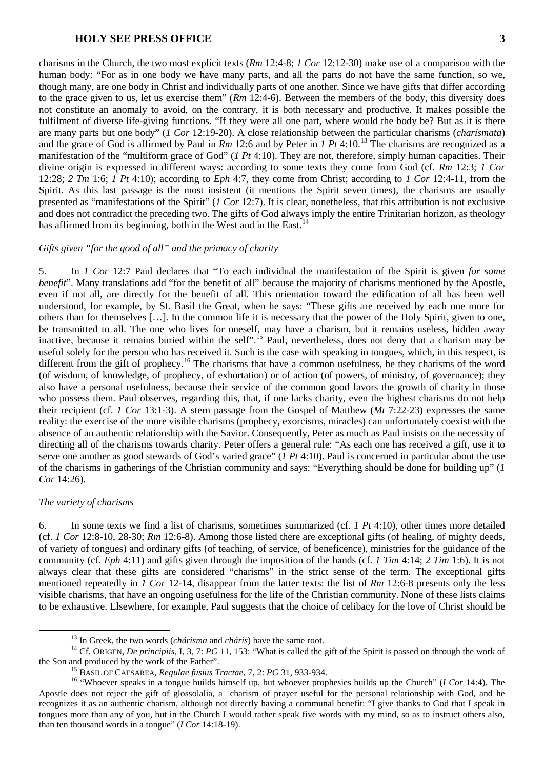charisms in the Church, the two most explicit texts (*Rm* 12:4-8; *1 Cor* 12:12-30) make use of a comparison with the human body: "For as in one body we have many parts, and all the parts do not have the same function, so we, though many, are one body in Christ and individually parts of one another. Since we have gifts that differ according to the grace given to us, let us exercise them" (*Rm* 12:4-6). Between the members of the body, this diversity does not constitute an anomaly to avoid, on the contrary, it is both necessary and productive. It makes possible the fulfilment of diverse life-giving functions. "If they were all one part, where would the body be? But as it is there are many parts but one body" (*1 Cor* 12:19-20). A close relationship between the particular charisms (*charísmata*) and the grace of God is affirmed by Paul in *Rm* 12:6 and by Peter in *1 Pt* 4:10.<sup>[13](#page-2-0)</sup> The charisms are recognized as a manifestation of the "multiform grace of God" (*1 Pt* 4:10). They are not, therefore, simply human capacities. Their divine origin is expressed in different ways: according to some texts they come from God (cf. *Rm* 12:3; *1 Cor* 12:28; *2 Tm* 1:6; *1 Pt* 4:10); according to *Eph* 4:7, they come from Christ; according to *1 Cor* 12:4-11, from the Spirit. As this last passage is the most insistent (it mentions the Spirit seven times), the charisms are usually presented as "manifestations of the Spirit" (*1 Cor* 12:7). It is clear, nonetheless, that this attribution is not exclusive and does not contradict the preceding two. The gifts of God always imply the entire Trinitarian horizon, as theology has affirmed from its beginning, both in the West and in the East.<sup>[14](#page-2-1)</sup>

#### *Gifts given "for the good of all" and the primacy of charity*

5. In *1 Cor* 12:7 Paul declares that "To each individual the manifestation of the Spirit is given *for some benefit*". Many translations add "for the benefit of all" because the majority of charisms mentioned by the Apostle, even if not all, are directly for the benefit of all. This orientation toward the edification of all has been well understood, for example, by St. Basil the Great, when he says: "These gifts are received by each one more for others than for themselves […]. In the common life it is necessary that the power of the Holy Spirit, given to one, be transmitted to all. The one who lives for oneself, may have a charism, but it remains useless, hidden away inactive, because it remains buried within the self".<sup>[15](#page-2-2)</sup> Paul, nevertheless, does not deny that a charism may be useful solely for the person who has received it. Such is the case with speaking in tongues, which, in this respect, is different from the gift of prophecy.<sup>[16](#page-2-3)</sup> The charisms that have a common usefulness, be they charisms of the word (of wisdom, of knowledge, of prophecy, of exhortation) or of action (of powers, of ministry, of governance); they also have a personal usefulness, because their service of the common good favors the growth of charity in those who possess them. Paul observes, regarding this, that, if one lacks charity, even the highest charisms do not help their recipient (cf. *1 Cor* 13:1-3). A stern passage from the Gospel of Matthew (*Mt* 7:22-23) expresses the same reality: the exercise of the more visible charisms (prophecy, exorcisms, miracles) can unfortunately coexist with the absence of an authentic relationship with the Savior. Consequently, Peter as much as Paul insists on the necessity of directing all of the charisms towards charity. Peter offers a general rule: "As each one has received a gift, use it to serve one another as good stewards of God's varied grace" (*1 Pt* 4:10). Paul is concerned in particular about the use of the charisms in gatherings of the Christian community and says: "Everything should be done for building up" (*1 Cor* 14:26).

#### *The variety of charisms*

6. In some texts we find a list of charisms, sometimes summarized (cf. *1 Pt* 4:10), other times more detailed (cf. *1 Cor* 12:8-10, 28-30; *Rm* 12:6-8). Among those listed there are exceptional gifts (of healing, of mighty deeds, of variety of tongues) and ordinary gifts (of teaching, of service, of beneficence), ministries for the guidance of the community (cf. *Eph* 4:11) and gifts given through the imposition of the hands (cf. *1 Tim* 4:14; *2 Tim* 1:6). It is not always clear that these gifts are considered "charisms" in the strict sense of the term. The exceptional gifts mentioned repeatedly in *1 Cor* 12-14, disappear from the latter texts: the list of *Rm* 12:6-8 presents only the less visible charisms, that have an ongoing usefulness for the life of the Christian community. None of these lists claims to be exhaustive. Elsewhere, for example, Paul suggests that the choice of celibacy for the love of Christ should be

<span id="page-2-1"></span><span id="page-2-0"></span><sup>&</sup>lt;sup>13</sup> In Greek, the two words (*chárisma* and *cháris*) have the same root.<br><sup>14</sup> Cf. ORIGEN, *De principiis*, I, 3, 7: *PG* 11, 153: "What is called the gift of the Spirit is passed on through the work of the Spirit is pass

<span id="page-2-3"></span><span id="page-2-2"></span><sup>&</sup>lt;sup>15</sup> BASIL OF CAESAREA, *Regulae fusius Tractae*, 7, 2: *PG* 31, 933-934.<br><sup>16</sup> "Whoever speaks in a tongue builds himself up, but whoever prophesies builds up the Church" (*I Cor* 14:4). The Apostle does not reject the gift of glossolalia, a charism of prayer useful for the personal relationship with God, and he recognizes it as an authentic charism, although not directly having a communal benefit: "I give thanks to God that I speak in tongues more than any of you, but in the Church I would rather speak five words with my mind, so as to instruct others also, than ten thousand words in a tongue" (*I Cor* 14:18-19).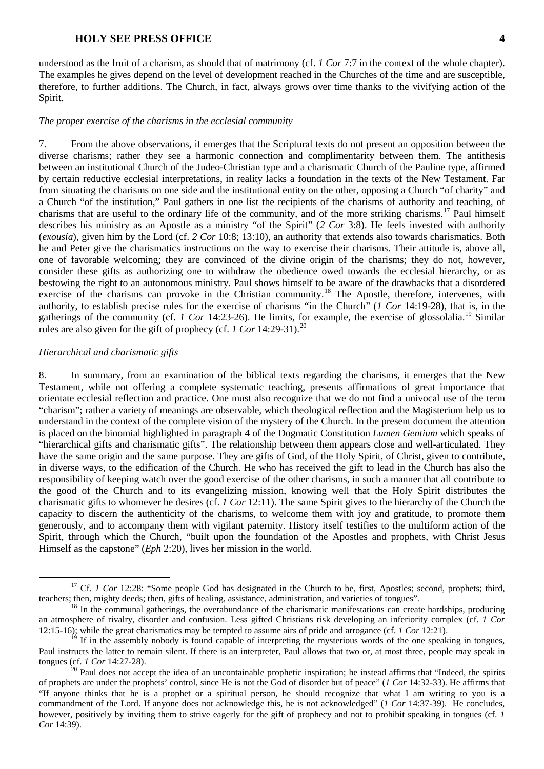understood as the fruit of a charism, as should that of matrimony (cf. *1 Cor* 7:7 in the context of the whole chapter). The examples he gives depend on the level of development reached in the Churches of the time and are susceptible, therefore, to further additions. The Church, in fact, always grows over time thanks to the vivifying action of the Spirit.

#### *The proper exercise of the charisms in the ecclesial community*

7. From the above observations, it emerges that the Scriptural texts do not present an opposition between the diverse charisms; rather they see a harmonic connection and complimentarity between them. The antithesis between an institutional Church of the Judeo-Christian type and a charismatic Church of the Pauline type, affirmed by certain reductive ecclesial interpretations, in reality lacks a foundation in the texts of the New Testament. Far from situating the charisms on one side and the institutional entity on the other, opposing a Church "of charity" and a Church "of the institution," Paul gathers in one list the recipients of the charisms of authority and teaching, of charisms that are useful to the ordinary life of the community, and of the more striking charisms.<sup>[17](#page-3-0)</sup> Paul himself describes his ministry as an Apostle as a ministry "of the Spirit" (*2 Cor* 3:8). He feels invested with authority (*exousía*), given him by the Lord (cf. *2 Cor* 10:8; 13:10), an authority that extends also towards charismatics. Both he and Peter give the charismatics instructions on the way to exercise their charisms. Their attitude is, above all, one of favorable welcoming; they are convinced of the divine origin of the charisms; they do not, however, consider these gifts as authorizing one to withdraw the obedience owed towards the ecclesial hierarchy, or as bestowing the right to an autonomous ministry. Paul shows himself to be aware of the drawbacks that a disordered exercise of the charisms can provoke in the Christian community.<sup>[18](#page-3-1)</sup> The Apostle, therefore, intervenes, with authority, to establish precise rules for the exercise of charisms "in the Church" (*1 Cor* 14:19-28), that is, in the gatherings of the community (cf. *1 Cor* 14:23-26). He limits, for example, the exercise of glossolalia.[19](#page-3-2) Similar rules are also given for the gift of prophecy (cf. *1 Cor* 14:29-31).<sup>[20](#page-3-3)</sup>

#### *Hierarchical and charismatic gifts*

8. In summary, from an examination of the biblical texts regarding the charisms, it emerges that the New Testament, while not offering a complete systematic teaching, presents affirmations of great importance that orientate ecclesial reflection and practice. One must also recognize that we do not find a univocal use of the term "charism"; rather a variety of meanings are observable, which theological reflection and the Magisterium help us to understand in the context of the complete vision of the mystery of the Church. In the present document the attention is placed on the binomial highlighted in paragraph 4 of the Dogmatic Constitution *Lumen Gentium* which speaks of "hierarchical gifts and charismatic gifts". The relationship between them appears close and well-articulated. They have the same origin and the same purpose. They are gifts of God, of the Holy Spirit, of Christ, given to contribute, in diverse ways, to the edification of the Church. He who has received the gift to lead in the Church has also the responsibility of keeping watch over the good exercise of the other charisms, in such a manner that all contribute to the good of the Church and to its evangelizing mission, knowing well that the Holy Spirit distributes the charismatic gifts to whomever he desires (cf. *1 Cor* 12:11). The same Spirit gives to the hierarchy of the Church the capacity to discern the authenticity of the charisms, to welcome them with joy and gratitude, to promote them generously, and to accompany them with vigilant paternity. History itself testifies to the multiform action of the Spirit, through which the Church, "built upon the foundation of the Apostles and prophets, with Christ Jesus Himself as the capstone" (*Eph* 2:20), lives her mission in the world.

<span id="page-3-0"></span><sup>&</sup>lt;sup>17</sup> Cf. *1 Cor* 12:28: "Some people God has designated in the Church to be, first, Apostles; second, prophets; third, teachers; then, mighty deeds; then, gifts of healing, assistance, administration, and varieties of tong

<span id="page-3-1"></span> $18$  In the communal gatherings, the overabundance of the charismatic manifestations can create hardships, producing an atmosphere of rivalry, disorder and confusion. Less gifted Christians risk developing an inferiority complex (cf. *1 Cor*  12:15-16); while the great charismatics may be tempted to assume airs of pride and arrogance (cf. *1 Cor* 12:21).

<span id="page-3-2"></span> $\frac{19}{19}$  If in the assembly nobody is found capable of interpreting the mysterious words of the one speaking in tongues, Paul instructs the latter to remain silent. If there is an interpreter, Paul allows that two or, at most three, people may speak in

<span id="page-3-3"></span>tongues (cf. *1 Cor* 14:27-28).<br><sup>20</sup> Paul does not accept the idea of an uncontainable prophetic inspiration; he instead affirms that "Indeed, the spirits"<br>20 Paul does not accept the idea of an uncontainable prophetic in of prophets are under the prophets' control, since He is not the God of disorder but of peace" (*1 Cor* 14:32-33). He affirms that "If anyone thinks that he is a prophet or a spiritual person, he should recognize that what I am writing to you is a commandment of the Lord. If anyone does not acknowledge this, he is not acknowledged" (*1 Cor* 14:37-39). He concludes, however, positively by inviting them to strive eagerly for the gift of prophecy and not to prohibit speaking in tongues (cf. *1 Cor* 14:39).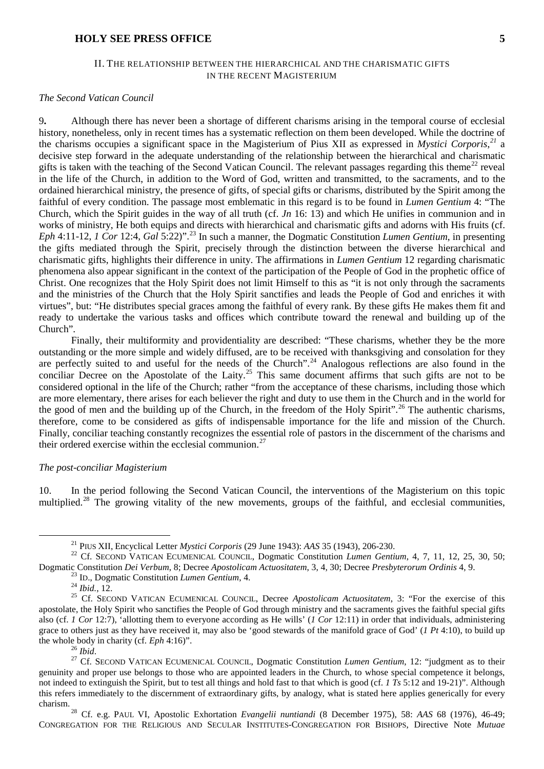## II. THE RELATIONSHIP BETWEEN THE HIERARCHICAL AND THE CHARISMATIC GIFTS IN THE RECENT MAGISTERIUM

#### *The Second Vatican Council*

9**.** Although there has never been a shortage of different charisms arising in the temporal course of ecclesial history, nonetheless, only in recent times has a systematic reflection on them been developed. While the doctrine of the charisms occupies a significant space in the Magisterium of Pius XII as expressed in *Mystici Corporis*, *[21](#page-4-0)* a decisive step forward in the adequate understanding of the relationship between the hierarchical and charismatic gifts is taken with the teaching of the Second Vatican Council. The relevant passages regarding this theme<sup>[22](#page-4-1)</sup> reveal in the life of the Church, in addition to the Word of God, written and transmitted, to the sacraments, and to the ordained hierarchical ministry, the presence of gifts, of special gifts or charisms, distributed by the Spirit among the faithful of every condition. The passage most emblematic in this regard is to be found in *Lumen Gentium* 4: "The Church, which the Spirit guides in the way of all truth (cf. *Jn* 16: 13) and which He unifies in communion and in works of ministry, He both equips and directs with hierarchical and charismatic gifts and adorns with His fruits (cf. *Eph* 4:11-12, *1 Cor* 12:4, *Gal* 5:22)".<sup>[23](#page-4-2)</sup> In such a manner, the Dogmatic Constitution *Lumen Gentium*, in presenting the gifts mediated through the Spirit, precisely through the distinction between the diverse hierarchical and charismatic gifts, highlights their difference in unity. The affirmations in *Lumen Gentium* 12 regarding charismatic phenomena also appear significant in the context of the participation of the People of God in the prophetic office of Christ. One recognizes that the Holy Spirit does not limit Himself to this as "it is not only through the sacraments and the ministries of the Church that the Holy Spirit sanctifies and leads the People of God and enriches it with virtues", but: "He distributes special graces among the faithful of every rank. By these gifts He makes them fit and ready to undertake the various tasks and offices which contribute toward the renewal and building up of the Church".

Finally, their multiformity and providentiality are described: "These charisms, whether they be the more outstanding or the more simple and widely diffused, are to be received with thanksgiving and consolation for they are perfectly suited to and useful for the needs of the Church".<sup>[24](#page-4-3)</sup> Analogous reflections are also found in the conciliar Decree on the Apostolate of the Laity.<sup>[25](#page-4-4)</sup> This same document affirms that such gifts are not to be considered optional in the life of the Church; rather "from the acceptance of these charisms, including those which are more elementary, there arises for each believer the right and duty to use them in the Church and in the world for the good of men and the building up of the Church, in the freedom of the Holy Spirit".<sup>[26](#page-4-5)</sup> The authentic charisms, therefore, come to be considered as gifts of indispensable importance for the life and mission of the Church. Finally, conciliar teaching constantly recognizes the essential role of pastors in the discernment of the charisms and their ordered exercise within the ecclesial communion.<sup>[27](#page-4-6)</sup>

### *The post-conciliar Magisterium*

10. In the period following the Second Vatican Council, the interventions of the Magisterium on this topic multiplied.<sup>[28](#page-4-7)</sup> The growing vitality of the new movements, groups of the faithful, and ecclesial communities,

<span id="page-4-1"></span><span id="page-4-0"></span><sup>&</sup>lt;sup>21</sup> PIUS XII, Encyclical Letter *Mystici Corporis* (29 June 1943): *AAS* 35 (1943), 206-230.<br><sup>22</sup> Cf. SECOND VATICAN ECUMENICAL COUNCIL, Dogmatic Constitution *Lumen Gentium*, 4, 7, 11, 12, 25, 30, 50;<br>Dogmatic Constituti

<span id="page-4-4"></span><span id="page-4-3"></span><span id="page-4-2"></span><sup>&</sup>lt;sup>23</sup> ID., Dogmatic Constitution *Lumen Gentium*, 4.<br><sup>24</sup> Ibid., 12.<br><sup>25</sup> Cf. SECOND VATICAN ECUMENICAL COUNCIL, Decree *Apostolicam Actuositatem*, 3: "For the exercise of this apostolate, the Holy Spirit who sanctifies the People of God through ministry and the sacraments gives the faithful special gifts also (cf. *1 Cor* 12:7), 'allotting them to everyone according as He wills' (*1 Cor* 12:11) in order that individuals, administering grace to others just as they have received it, may also be 'good stewards of the manifold grace of God' (*1 Pt* 4:10), to build up

<span id="page-4-6"></span><span id="page-4-5"></span>the whole body in charity (cf. *Eph* 4:16)".<br><sup>26</sup> *Ibid*. <sup>26</sup> *Ibid*. 27 Cf. SECOND VATICAN ECUMENICAL COUNCIL, Dogmatic Constitution *Lumen Gentium*, 12: "judgment as to their genuinity and proper use belongs to those who are appointed leaders in the Church, to whose special competence it belongs, not indeed to extinguish the Spirit, but to test all things and hold fast to that which is good (cf. *1 Ts* 5:12 and 19-21)". Although this refers immediately to the discernment of extraordinary gifts, by analogy, what is stated here applies generically for every

<span id="page-4-7"></span>Cf. e.g. PAUL VI, Apostolic Exhortation *Evangelii nuntiandi* (8 December 1975), 58: *AAS* 68 (1976), 46-49; CONGREGATION FOR THE RELIGIOUS AND SECULAR INSTITUTES-CONGREGATION FOR BISHOPS, Directive Note *Mutuae*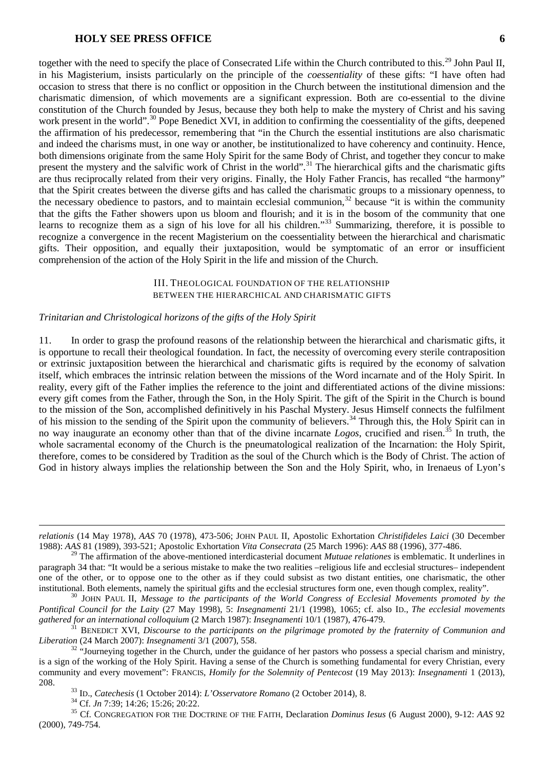together with the need to specify the place of Consecrated Life within the Church contributed to this.<sup>[29](#page-5-0)</sup> John Paul II. in his Magisterium, insists particularly on the principle of the *coessentiality* of these gifts: "I have often had occasion to stress that there is no conflict or opposition in the Church between the institutional dimension and the charismatic dimension, of which movements are a significant expression. Both are co-essential to the divine constitution of the Church founded by Jesus, because they both help to make the mystery of Christ and his saving work present in the world".<sup>[30](#page-5-1)</sup> Pope Benedict XVI, in addition to confirming the coessentiality of the gifts, deepened the affirmation of his predecessor, remembering that "in the Church the essential institutions are also charismatic and indeed the charisms must, in one way or another, be institutionalized to have coherency and continuity. Hence, both dimensions originate from the same Holy Spirit for the same Body of Christ, and together they concur to make present the mystery and the salvific work of Christ in the world".<sup>[31](#page-5-2)</sup> The hierarchical gifts and the charismatic gifts are thus reciprocally related from their very origins. Finally, the Holy Father Francis, has recalled "the harmony" that the Spirit creates between the diverse gifts and has called the charismatic groups to a missionary openness, to the necessary obedience to pastors, and to maintain ecclesial communion,  $32$  because "it is within the community that the gifts the Father showers upon us bloom and flourish; and it is in the bosom of the community that one learns to recognize them as a sign of his love for all his children."<sup>[33](#page-5-4)</sup> Summarizing, therefore, it is possible to recognize a convergence in the recent Magisterium on the coessentiality between the hierarchical and charismatic gifts. Their opposition, and equally their juxtaposition, would be symptomatic of an error or insufficient comprehension of the action of the Holy Spirit in the life and mission of the Church.

### III. THEOLOGICAL FOUNDATION OF THE RELATIONSHIP BETWEEN THE HIERARCHICAL AND CHARISMATIC GIFTS

### *Trinitarian and Christological horizons of the gifts of the Holy Spirit*

11. In order to grasp the profound reasons of the relationship between the hierarchical and charismatic gifts, it is opportune to recall their theological foundation. In fact, the necessity of overcoming every sterile contraposition or extrinsic juxtaposition between the hierarchical and charismatic gifts is required by the economy of salvation itself, which embraces the intrinsic relation between the missions of the Word incarnate and of the Holy Spirit. In reality, every gift of the Father implies the reference to the joint and differentiated actions of the divine missions: every gift comes from the Father, through the Son, in the Holy Spirit. The gift of the Spirit in the Church is bound to the mission of the Son, accomplished definitively in his Paschal Mystery. Jesus Himself connects the fulfilment of his mission to the sending of the Spirit upon the community of believers.<sup>[34](#page-5-5)</sup> Through this, the Holy Spirit can in no way inaugurate an economy other than that of the divine incarnate *Logos*, crucified and risen.[35](#page-5-6) In truth, the whole sacramental economy of the Church is the pneumatological realization of the Incarnation: the Holy Spirit, therefore, comes to be considered by Tradition as the soul of the Church which is the Body of Christ. The action of God in history always implies the relationship between the Son and the Holy Spirit, who, in Irenaeus of Lyon's

 $\overline{a}$ 

*relationis* (14 May 1978), *AAS* 70 (1978), 473-506; JOHN PAUL II, Apostolic Exhortation *Christifideles Laici* (30 December 1988): *AAS* 81 (1989), 393-521; Apostolic Exhortation *Vita Consecrata* (25 March 1996): *AAS* 88 (1996), 377-486.

<span id="page-5-0"></span><sup>29</sup> The affirmation of the above-mentioned interdicasterial document *Mutuae relationes* is emblematic. It underlines in paragraph 34 that: "It would be a serious mistake to make the two realities –religious life and ecclesial structures– independent one of the other, or to oppose one to the other as if they could subsist as two distant entities, one charismatic, the other institutional. Both elements, namely the spiritual gifts and the ecclesial structures form one, even though complex, reality".<br><sup>30</sup> JOHN PAUL II, *Message to the participants of the World Congress of Ecclesial Movements pr* 

<span id="page-5-1"></span>*Pontifical Council for the Laity* (27 May 1998), 5: *Insegnamenti* 21/1 (1998), 1065; cf. also ID., *The ecclesial movements gathered for an international colloquium* (2 March 1987): *Insegnamenti* 10/1 (1987), 476-479.

<span id="page-5-2"></span><sup>&</sup>lt;sup>31</sup> BENEDICT XVI, *Discourse to the participants on the pilgrimage promoted by the fraternity of Communion and Liberation* (24 March 2007): *Insegnamenti* 3/1 (2007), 558.<br><sup>32</sup> "Journeying together in the Church, under the guidance of her pastors who possess a special charism and ministry,

<span id="page-5-3"></span>is a sign of the working of the Holy Spirit. Having a sense of the Church is something fundamental for every Christian, every community and every movement": FRANCIS, *Homily for the Solemnity of Pentecost* (19 May 2013): *Insegnamenti* 1 (2013), 208.<br>
<sup>33</sup> ID., *Catechesis* (1 October 2014): *L'Osservatore Romano* (2 October 2014), 8.<br>
<sup>34</sup> Cf. *Jn* 7:39; 14:26; 15:26; 20:22.<br>
<sup>35</sup> Cf. CONGREGATION FOR THE DOCTRINE OF THE FAITH, Declaration *Dominus Iesus* (6 Aug

<span id="page-5-6"></span><span id="page-5-5"></span><span id="page-5-4"></span><sup>(2000), 749-754.</sup>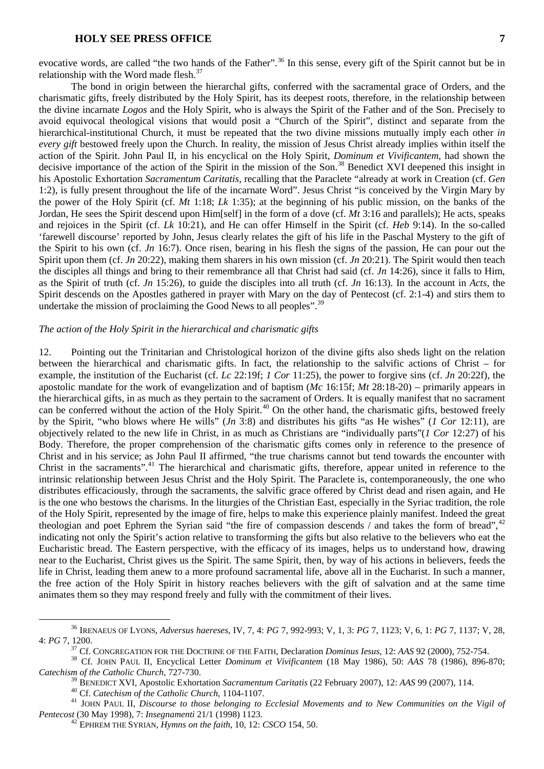evocative words, are called "the two hands of the Father".<sup>[36](#page-6-0)</sup> In this sense, every gift of the Spirit cannot but be in relationship with the Word made flesh. $37$ 

The bond in origin between the hierarchal gifts, conferred with the sacramental grace of Orders, and the charismatic gifts, freely distributed by the Holy Spirit, has its deepest roots, therefore, in the relationship between the divine incarnate *Logos* and the Holy Spirit, who is always the Spirit of the Father and of the Son. Precisely to avoid equivocal theological visions that would posit a "Church of the Spirit", distinct and separate from the hierarchical-institutional Church, it must be repeated that the two divine missions mutually imply each other *in every gift* bestowed freely upon the Church. In reality, the mission of Jesus Christ already implies within itself the action of the Spirit. John Paul II, in his encyclical on the Holy Spirit, *Dominum et Vivificantem*, had shown the decisive importance of the action of the Spirit in the mission of the Son.<sup>[38](#page-6-2)</sup> Benedict XVI deepened this insight in his Apostolic Exhortation *Sacramentum Caritatis*, recalling that the Paraclete "already at work in Creation (cf. *Gen* 1:2), is fully present throughout the life of the incarnate Word". Jesus Christ "is conceived by the Virgin Mary by the power of the Holy Spirit (cf. *Mt* 1:18; *Lk* 1:35); at the beginning of his public mission, on the banks of the Jordan, He sees the Spirit descend upon Him[self] in the form of a dove (cf. *Mt* 3:16 and parallels); He acts, speaks and rejoices in the Spirit (cf. *Lk* 10:21), and He can offer Himself in the Spirit (cf. *Heb* 9:14). In the so-called 'farewell discourse' reported by John, Jesus clearly relates the gift of his life in the Paschal Mystery to the gift of the Spirit to his own (cf. *Jn* 16:7). Once risen, bearing in his flesh the signs of the passion, He can pour out the Spirit upon them (cf. *Jn* 20:22), making them sharers in his own mission (cf. *Jn* 20:21). The Spirit would then teach the disciples all things and bring to their remembrance all that Christ had said (cf. *Jn* 14:26), since it falls to Him, as the Spirit of truth (cf. *Jn* 15:26), to guide the disciples into all truth (cf. *Jn* 16:13). In the account in *Acts*, the Spirit descends on the Apostles gathered in prayer with Mary on the day of Pentecost (cf. 2:1-4) and stirs them to undertake the mission of proclaiming the Good News to all peoples".<sup>[39](#page-6-3)</sup>

# *The action of the Holy Spirit in the hierarchical and charismatic gifts*

12. Pointing out the Trinitarian and Christological horizon of the divine gifts also sheds light on the relation between the hierarchical and charismatic gifts. In fact, the relationship to the salvific actions of Christ – for example, the institution of the Eucharist (cf. *Lc* 22:19f; *1 Cor* 11:25), the power to forgive sins (cf. *Jn* 20:22f), the apostolic mandate for the work of evangelization and of baptism (*Mc* 16:15f; *Mt* 28:18-20) – primarily appears in the hierarchical gifts, in as much as they pertain to the sacrament of Orders. It is equally manifest that no sacrament can be conferred without the action of the Holy Spirit.<sup>[40](#page-6-4)</sup> On the other hand, the charismatic gifts, bestowed freely by the Spirit, "who blows where He wills" (*Jn* 3:8) and distributes his gifts "as He wishes" (*1 Cor* 12:11), are objectively related to the new life in Christ, in as much as Christians are "individually parts"(*1 Cor* 12:27) of his Body. Therefore, the proper comprehension of the charismatic gifts comes only in reference to the presence of Christ and in his service; as John Paul II affirmed, "the true charisms cannot but tend towards the encounter with Christ in the sacraments".<sup>[41](#page-6-5)</sup> The hierarchical and charismatic gifts, therefore, appear united in reference to the intrinsic relationship between Jesus Christ and the Holy Spirit. The Paraclete is, contemporaneously, the one who distributes efficaciously, through the sacraments, the salvific grace offered by Christ dead and risen again, and He is the one who bestows the charisms. In the liturgies of the Christian East, especially in the Syriac tradition, the role of the Holy Spirit, represented by the image of fire, helps to make this experience plainly manifest. Indeed the great theologian and poet Ephrem the Syrian said "the fire of compassion descends / and takes the form of bread", $42$ indicating not only the Spirit's action relative to transforming the gifts but also relative to the believers who eat the Eucharistic bread. The Eastern perspective, with the efficacy of its images, helps us to understand how, drawing near to the Eucharist, Christ gives us the Spirit. The same Spirit, then, by way of his actions in believers, feeds the life in Christ, leading them anew to a more profound sacramental life, above all in the Eucharist. In such a manner, the free action of the Holy Spirit in history reaches believers with the gift of salvation and at the same time animates them so they may respond freely and fully with the commitment of their lives.

<span id="page-6-0"></span> <sup>36</sup> IRENAEUS OF LYONS, *Adversus haereses*, IV, 7, 4: *PG* 7, 992-993; V, 1, 3: *PG* 7, 1123; V, 6, 1: *PG* 7, 1137; V, 28, 4: PG 7, 1200.<br><sup>37</sup> Cf. CONGREGATION FOR THE DOCTRINE OF THE FAITH, Declaration *Dominus Iesus*, 12: AAS 92 (2000), 752-754.<br><sup>38</sup> Cf. JOHN PAUL II, Encyclical Letter *Dominum et Vivificantem* (18 May 1986), 50: AAS 78 (198

<span id="page-6-2"></span><span id="page-6-1"></span>*Catechism of the Catholic Church*, 727-730.

<span id="page-6-6"></span><span id="page-6-5"></span><span id="page-6-4"></span><span id="page-6-3"></span><sup>&</sup>lt;sup>40</sup> Cf. Catechism of the Catholic Church, 1104-1107.<br><sup>41</sup> JOHN PAUL II, Discourse to those belonging to Ecclesial Movements and to New Communities on the Vigil of *Pentecost* (30 May 1998), 7: *Insegnamenti* 21/1 (1998) 1123. <sup>42</sup> EPHREM THE SYRIAN, *Hymns on the faith*, 10, 12: *CSCO* 154, 50.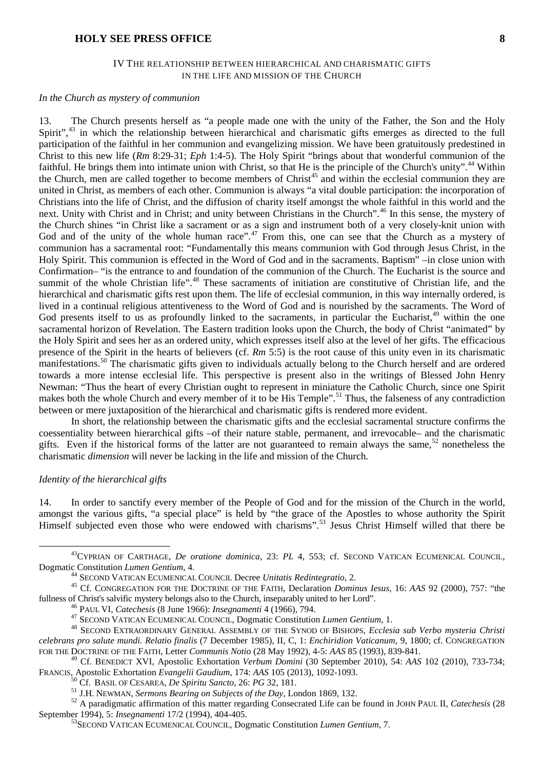## IV THE RELATIONSHIP BETWEEN HIERARCHICAL AND CHARISMATIC GIFTS IN THE LIFE AND MISSION OF THE CHURCH

### *In the Church as mystery of communion*

13. The Church presents herself as "a people made one with the unity of the Father, the Son and the Holy Spirit",<sup>[43](#page-7-0)</sup> in which the relationship between hierarchical and charismatic gifts emerges as directed to the full participation of the faithful in her communion and evangelizing mission. We have been gratuitously predestined in Christ to this new life (*Rm* 8:29-31; *Eph* 1:4-5). The Holy Spirit "brings about that wonderful communion of the faithful. He brings them into intimate union with Christ, so that He is the principle of the Church's unity".<sup>[44](#page-7-1)</sup> Within the Church, men are called together to become members of Christ<sup>[45](#page-7-2)</sup> and within the ecclesial communion they are united in Christ, as members of each other. Communion is always "a vital double participation: the incorporation of Christians into the life of Christ, and the diffusion of charity itself amongst the whole faithful in this world and the next. Unity with Christ and in Christ; and unity between Christians in the Church".[46](#page-7-3) In this sense, the mystery of the Church shines "in Christ like a sacrament or as a sign and instrument both of a very closely-knit union with God and of the unity of the whole human race".<sup>[47](#page-7-4)</sup> From this, one can see that the Church as a mystery of communion has a sacramental root: "Fundamentally this means communion with God through Jesus Christ, in the Holy Spirit. This communion is effected in the Word of God and in the sacraments. Baptism" –in close union with Confirmation– "is the entrance to and foundation of the communion of the Church. The Eucharist is the source and summit of the whole Christian life".<sup>[48](#page-7-5)</sup> These sacraments of initiation are constitutive of Christian life, and the hierarchical and charismatic gifts rest upon them. The life of ecclesial communion, in this way internally ordered, is lived in a continual religious attentiveness to the Word of God and is nourished by the sacraments. The Word of God presents itself to us as profoundly linked to the sacraments, in particular the Eucharist,<sup>[49](#page-7-6)</sup> within the one sacramental horizon of Revelation. The Eastern tradition looks upon the Church, the body of Christ "animated" by the Holy Spirit and sees her as an ordered unity, which expresses itself also at the level of her gifts. The efficacious presence of the Spirit in the hearts of believers (cf. *Rm* 5:5) is the root cause of this unity even in its charismatic manifestations.<sup>[50](#page-7-7)</sup> The charismatic gifts given to individuals actually belong to the Church herself and are ordered towards a more intense ecclesial life. This perspective is present also in the writings of Blessed John Henry Newman: "Thus the heart of every Christian ought to represent in miniature the Catholic Church, since one Spirit makes both the whole Church and every member of it to be His Temple".<sup>[51](#page-7-8)</sup> Thus, the falseness of any contradiction between or mere juxtaposition of the hierarchical and charismatic gifts is rendered more evident.

In short, the relationship between the charismatic gifts and the ecclesial sacramental structure confirms the coessentiality between hierarchical gifts –of their nature stable, permanent, and irrevocable– and the charismatic gifts. Even if the historical forms of the latter are not guaranteed to remain always the same,<sup>[52](#page-7-9)</sup> nonetheless the charismatic *dimension* will never be lacking in the life and mission of the Church.

#### *Identity of the hierarchical gifts*

14. In order to sanctify every member of the People of God and for the mission of the Church in the world, amongst the various gifts, "a special place" is held by "the grace of the Apostles to whose authority the Spirit Himself subjected even those who were endowed with charisms".<sup>[53](#page-7-10)</sup> Jesus Christ Himself willed that there be

<span id="page-7-0"></span><sup>&</sup>lt;sup>43</sup>CYPRIAN OF CARTHAGE, *De oratione dominica*, 23: *PL* 4, 553; cf. SECOND VATICAN ECUMENICAL COUNCIL, Dogmatic Constitution Lumen Gentium, 4.

<span id="page-7-2"></span><span id="page-7-1"></span><sup>&</sup>lt;sup>44</sup> SECOND VATICAN ECUMENICAL COUNCIL Decree *Unitatis Redintegratio*, 2.<br><sup>45</sup> Cf. CONGREGATION FOR THE DOCTRINE OF THE FAITH, Declaration *Dominus Iesus*, 16: AAS 92 (2000), 757: "the fullness of Christ's salvific myster

<span id="page-7-5"></span><span id="page-7-4"></span><span id="page-7-3"></span><sup>&</sup>lt;sup>46</sup> PAUL VI, *Catechesis* (8 June 1966): *Insegnamenti* 4 (1966), 794.<br><sup>47</sup> SECOND VATICAN ECUMENICAL COUNCIL, Dogmatic Constitution *Lumen Gentium*, 1.<br><sup>48</sup> SECOND EXTRAORDINARY GENERAL ASSEMBLY OF THE SYNOD OF BISHOPS, *celebrans pro salute mundi. Relatio finalis* (7 December 1985), II, C, 1: *Enchiridion Vaticanum*, 9, 1800; cf. CONGREGATION FOR THE DOCTRINE OF THE FAITH, Letter *Communis Notio* (28 May 1992), 4-5: *AAS* 85 (1993), 839-841.

<span id="page-7-6"></span><sup>&</sup>lt;sup>49</sup> Cf. BENEDICT XVI, Apostolic Exhortation *Verbum Domini* (30 September 2010), 54: *AAS* 102 (2010), 733-734;<br>FRANCIS, Apostolic Exhortation *Evangelii Gaudium*, 174: *AAS* 105 (2013), 1092-1093.

<span id="page-7-10"></span><span id="page-7-9"></span><span id="page-7-8"></span><span id="page-7-7"></span><sup>&</sup>lt;sup>50</sup> Cf. BASIL OF CESAREA, *De Spiritu Sancto*, 26: *PG* 32, 181.<br><sup>51</sup> J.H. NEWMAN, *Sermons Bearing on Subjects of the Day*, London 1869, 132.<br><sup>52</sup> A paradigmatic affirmation of this matter regarding Consecrated Life can

<sup>&</sup>lt;sup>53</sup> SECOND VATICAN ECUMENICAL COUNCIL, Dogmatic Constitution *Lumen Gentium*, 7.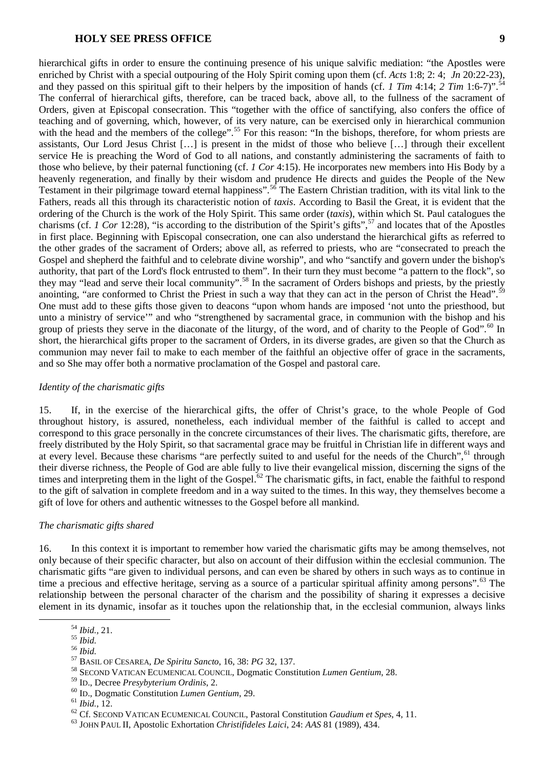hierarchical gifts in order to ensure the continuing presence of his unique salvific mediation: "the Apostles were enriched by Christ with a special outpouring of the Holy Spirit coming upon them (cf. *Acts* 1:8; 2: 4; *Jn* 20:22-23), and they passed on this spiritual gift to their helpers by the imposition of hands (cf. *1 Tim* 4:14; *2 Tim* 1:6-7)".<sup>[54](#page-8-0)</sup> The conferral of hierarchical gifts, therefore, can be traced back, above all, to the fullness of the sacrament of Orders, given at Episcopal consecration. This "together with the office of sanctifying, also confers the office of teaching and of governing, which, however, of its very nature, can be exercised only in hierarchical communion with the head and the members of the college".<sup>[55](#page-8-1)</sup> For this reason: "In the bishops, therefore, for whom priests are assistants, Our Lord Jesus Christ […] is present in the midst of those who believe […] through their excellent service He is preaching the Word of God to all nations, and constantly administering the sacraments of faith to those who believe, by their paternal functioning (cf. *1 Cor* 4:15). He incorporates new members into His Body by a heavenly regeneration, and finally by their wisdom and prudence He directs and guides the People of the New Testament in their pilgrimage toward eternal happiness".<sup>[56](#page-8-2)</sup> The Eastern Christian tradition, with its vital link to the Fathers, reads all this through its characteristic notion of *taxis*. According to Basil the Great, it is evident that the ordering of the Church is the work of the Holy Spirit. This same order (*taxis*), within which St. Paul catalogues the charisms (cf. *1 Cor* 12:28), "is according to the distribution of the Spirit's gifts",  $57$  and locates that of the Apostles in first place. Beginning with Episcopal consecration, one can also understand the hierarchical gifts as referred to the other grades of the sacrament of Orders; above all, as referred to priests, who are "consecrated to preach the Gospel and shepherd the faithful and to celebrate divine worship", and who "sanctify and govern under the bishop's authority, that part of the Lord's flock entrusted to them". In their turn they must become "a pattern to the flock", so they may "lead and serve their local community".<sup>[58](#page-8-4)</sup> In the sacrament of Orders bishops and priests, by the priestly anointing, "are conformed to Christ the Priest in such a way that they can act in the person of Christ the Head".<sup>[59](#page-8-5)</sup> One must add to these gifts those given to deacons "upon whom hands are imposed 'not unto the priesthood, but unto a ministry of service'" and who "strengthened by sacramental grace, in communion with the bishop and his group of priests they serve in the diaconate of the liturgy, of the word, and of charity to the People of God".<sup>[60](#page-8-6)</sup> In short, the hierarchical gifts proper to the sacrament of Orders, in its diverse grades, are given so that the Church as communion may never fail to make to each member of the faithful an objective offer of grace in the sacraments, and so She may offer both a normative proclamation of the Gospel and pastoral care.

### *Identity of the charismatic gifts*

15. If, in the exercise of the hierarchical gifts, the offer of Christ's grace, to the whole People of God throughout history, is assured, nonetheless, each individual member of the faithful is called to accept and correspond to this grace personally in the concrete circumstances of their lives. The charismatic gifts, therefore, are freely distributed by the Holy Spirit, so that sacramental grace may be fruitful in Christian life in different ways and at every level. Because these charisms "are perfectly suited to and useful for the needs of the Church",<sup>[61](#page-8-7)</sup> through their diverse richness, the People of God are able fully to live their evangelical mission, discerning the signs of the times and interpreting them in the light of the Gospel.<sup>[62](#page-8-8)</sup> The charismatic gifts, in fact, enable the faithful to respond to the gift of salvation in complete freedom and in a way suited to the times. In this way, they themselves become a gift of love for others and authentic witnesses to the Gospel before all mankind.

### *The charismatic gifts shared*

16. In this context it is important to remember how varied the charismatic gifts may be among themselves, not only because of their specific character, but also on account of their diffusion within the ecclesial communion. The charismatic gifts "are given to individual persons, and can even be shared by others in such ways as to continue in time a precious and effective heritage, serving as a source of a particular spiritual affinity among persons".<sup>[63](#page-8-9)</sup> The relationship between the personal character of the charism and the possibility of sharing it expresses a decisive element in its dynamic, insofar as it touches upon the relationship that, in the ecclesial communion, always links

<span id="page-8-1"></span>

<span id="page-8-2"></span>

<span id="page-8-4"></span><span id="page-8-3"></span>

<span id="page-8-0"></span><sup>&</sup>lt;sup>54</sup> *Ibid.*, 21.<br><sup>55</sup> *Ibid.*<br><sup>56</sup> *Ibid.*<br><sup>57</sup> BASIL OF CESAREA, *De Spiritu Sancto*, 16, 38: *PG* 32, 137.<br><sup>58</sup> SECOND VATICAN ECUMENICAL COUNCIL, Dogmatic Constitution *Lumen Gentium*, 28.<br><sup>59</sup> ID., Decree *Presybyteri* 

<span id="page-8-7"></span><span id="page-8-6"></span><span id="page-8-5"></span><sup>&</sup>lt;sup>60</sup> ID., Dogmatic Constitution *Lumen Gentium*, 29.<br>
<sup>61</sup> *Ibid.*, 12.<br>
<sup>62</sup> Cf. SECOND VATICAN ECUMENICAL COUNCIL, Pastoral Constitution *Gaudium et Spes*, 4, 11.<br>
<sup>63</sup> JOHN PAUL II, Apostolic Exhortation *Christifidele* 

<span id="page-8-9"></span><span id="page-8-8"></span>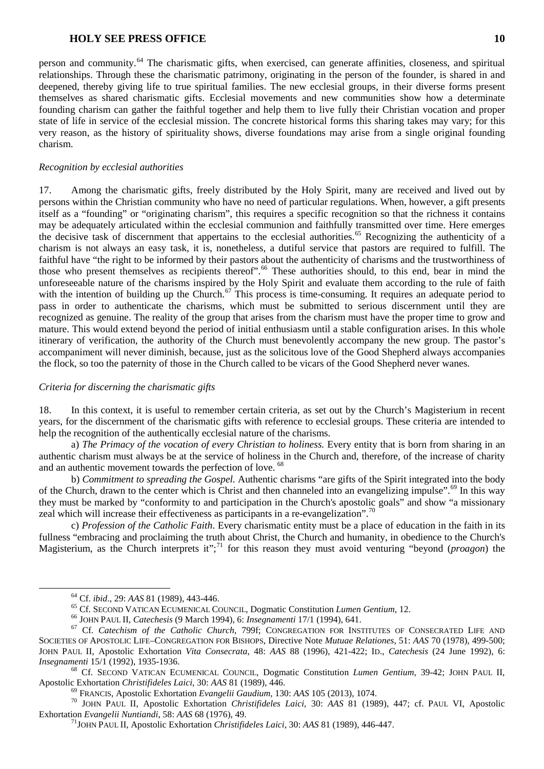person and community.[64](#page-9-0) The charismatic gifts, when exercised, can generate affinities, closeness, and spiritual relationships. Through these the charismatic patrimony, originating in the person of the founder, is shared in and deepened, thereby giving life to true spiritual families. The new ecclesial groups, in their diverse forms present themselves as shared charismatic gifts. Ecclesial movements and new communities show how a determinate founding charism can gather the faithful together and help them to live fully their Christian vocation and proper state of life in service of the ecclesial mission. The concrete historical forms this sharing takes may vary; for this very reason, as the history of spirituality shows, diverse foundations may arise from a single original founding charism.

# *Recognition by ecclesial authorities*

17. Among the charismatic gifts, freely distributed by the Holy Spirit, many are received and lived out by persons within the Christian community who have no need of particular regulations. When, however, a gift presents itself as a "founding" or "originating charism", this requires a specific recognition so that the richness it contains may be adequately articulated within the ecclesial communion and faithfully transmitted over time. Here emerges the decisive task of discernment that appertains to the ecclesial authorities.<sup>[65](#page-9-1)</sup> Recognizing the authenticity of a charism is not always an easy task, it is, nonetheless, a dutiful service that pastors are required to fulfill. The faithful have "the right to be informed by their pastors about the authenticity of charisms and the trustworthiness of those who present themselves as recipients thereof".<sup>[66](#page-9-2)</sup> These authorities should, to this end, bear in mind the unforeseeable nature of the charisms inspired by the Holy Spirit and evaluate them according to the rule of faith with the intention of building up the Church.<sup>[67](#page-9-3)</sup> This process is time-consuming. It requires an adequate period to pass in order to authenticate the charisms, which must be submitted to serious discernment until they are recognized as genuine. The reality of the group that arises from the charism must have the proper time to grow and mature. This would extend beyond the period of initial enthusiasm until a stable configuration arises. In this whole itinerary of verification, the authority of the Church must benevolently accompany the new group. The pastor's accompaniment will never diminish, because, just as the solicitous love of the Good Shepherd always accompanies the flock, so too the paternity of those in the Church called to be vicars of the Good Shepherd never wanes.

# *Criteria for discerning the charismatic gifts*

18. In this context, it is useful to remember certain criteria, as set out by the Church's Magisterium in recent years, for the discernment of the charismatic gifts with reference to ecclesial groups. These criteria are intended to help the recognition of the authentically ecclesial nature of the charisms.

a) *The Primacy of the vocation of every Christian to holiness*. Every entity that is born from sharing in an authentic charism must always be at the service of holiness in the Church and, therefore, of the increase of charity and an authentic movement towards the perfection of love. <sup>[68](#page-9-4)</sup>

b) *Commitment to spreading the Gospel.* Authentic charisms "are gifts of the Spirit integrated into the body of the Church, drawn to the center which is Christ and then channeled into an evangelizing impulse".<sup>[69](#page-9-5)</sup> In this way they must be marked by "conformity to and participation in the Church's apostolic goals" and show "a missionary zeal which will increase their effectiveness as participants in a re-evangelization".<sup>7</sup>

c) *Profession of the Catholic Faith*. Every charismatic entity must be a place of education in the faith in its fullness "embracing and proclaiming the truth about Christ, the Church and humanity, in obedience to the Church's Magisterium, as the Church interprets it";[71](#page-9-7) for this reason they must avoid venturing "beyond (*proagon*) the

<span id="page-9-2"></span><span id="page-9-1"></span><span id="page-9-0"></span><sup>&</sup>lt;sup>64</sup> Cf. *ibid.*, 29: AAS 81 (1989), 443-446.<br><sup>65</sup> Cf. SECOND VATICAN ECUMENICAL COUNCIL, Dogmatic Constitution *Lumen Gentium*, 12.<br><sup>66</sup> JOHN PAUL II, *Catechesis* (9 March 1994), 6: *Insegnamenti* 17/1 (1994), 641.<br><sup>67</sup> SOCIETIES OF APOSTOLIC LIFE–CONGREGATION FOR BISHOPS, Directive Note *Mutuae Relationes*, 51: *AAS* 70 (1978), 499-500; JOHN PAUL II, Apostolic Exhortation *Vita Consecrata*, 48: *AAS* 88 (1996), 421-422; ID., *Catechesis* (24 June 1992), 6:

<span id="page-9-4"></span><span id="page-9-3"></span>*Insegnamenti* 15/1 (1992), 1935-1936.<br><sup>68</sup> Cf. SECOND VATICAN ECUMENICAL COUNCIL, Dogmatic Constitution *Lumen Gentium*, 39-42; JOHN PAUL II, Apostolic Exhortation *Christifideles Laici*, 30: AAS 81 (1989), 446.

<span id="page-9-7"></span><span id="page-9-6"></span><span id="page-9-5"></span><sup>&</sup>lt;sup>69</sup> FRANCIS, Apostolic Exhortation *Evangelii Gaudium*, 130: AAS 105 (2013), 1074.<br><sup>70</sup> JOHN PAUL II, Apostolic Exhortation *Christifideles Laici*, 30: AAS 81 (1989), 447; cf. PAUL VI, Apostolic Exhortation *Evangelii Nu* 

Exhortation *Evangelii Nuntiandi*, 58: *AAS* 68 (1976), 49. 71JOHN PAUL II, Apostolic Exhortation *Christifideles Laici*, 30: *AAS* 81 (1989), 446-447.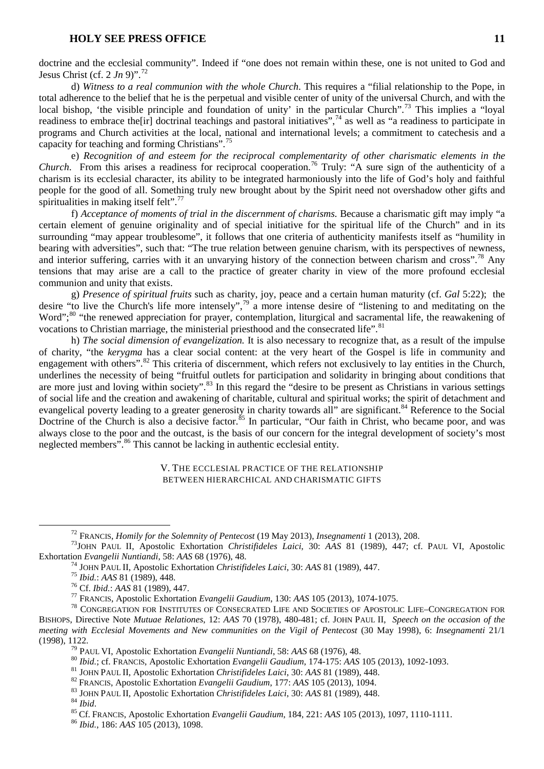doctrine and the ecclesial community". Indeed if "one does not remain within these, one is not united to God and Jesus Christ (cf. 2  $Jn$  9)".<sup>[72](#page-10-0)</sup>

d) *Witness to a real communion with the whole Church*. This requires a "filial relationship to the Pope, in total adherence to the belief that he is the perpetual and visible center of unity of the universal Church, and with the local bishop, 'the visible principle and foundation of unity' in the particular Church".<sup>[73](#page-10-1)</sup> This implies a "loyal" readiness to embrace the[ir] doctrinal teachings and pastoral initiatives",  $74$  as well as "a readiness to participate in programs and Church activities at the local, national and international levels; a commitment to catechesis and a capacity for teaching and forming Christians".[75](#page-10-3)

e) *Recognition of and esteem for the reciprocal complementarity of other charismatic elements in the Church*. From this arises a readiness for reciprocal cooperation.<sup>[76](#page-10-4)</sup> Truly: "A sure sign of the authenticity of a charism is its ecclesial character, its ability to be integrated harmoniously into the life of God's holy and faithful people for the good of all. Something truly new brought about by the Spirit need not overshadow other gifts and spiritualities in making itself felt". $^{77}$  $^{77}$  $^{77}$ 

f) *Acceptance of moments of trial in the discernment of charisms.* Because a charismatic gift may imply "a certain element of genuine originality and of special initiative for the spiritual life of the Church" and in its surrounding "may appear troublesome", it follows that one criteria of authenticity manifests itself as "humility in bearing with adversities", such that: "The true relation between genuine charism, with its perspectives of newness, and interior suffering, carries with it an unvarying history of the connection between charism and cross".<sup>[78](#page-10-6)</sup> Any tensions that may arise are a call to the practice of greater charity in view of the more profound ecclesial communion and unity that exists.

g) *Presence of spiritual fruits* such as charity, joy, peace and a certain human maturity (cf. *Gal* 5:22); the desire "to live the Church's life more intensely",[79](#page-10-7) a more intense desire of "listening to and meditating on the Word";<sup>[80](#page-10-8)</sup> "the renewed appreciation for prayer, contemplation, liturgical and sacramental life, the reawakening of vocations to Christian marriage, the ministerial priesthood and the consecrated life".<sup>[81](#page-10-9)</sup>

h) *The social dimension of evangelization.* It is also necessary to recognize that, as a result of the impulse of charity, "the *kerygma* has a clear social content: at the very heart of the Gospel is life in community and engagement with others".<sup>[82](#page-10-10)</sup> This criteria of discernment, which refers not exclusively to lay entities in the Church, underlines the necessity of being "fruitful outlets for participation and solidarity in bringing about conditions that are more just and loving within society".<sup>[83](#page-10-11)</sup> In this regard the "desire to be present as Christians in various settings of social life and the creation and awakening of charitable, cultural and spiritual works; the spirit of detachment and evangelical poverty leading to a greater generosity in charity towards all" are significant.<sup>[84](#page-10-12)</sup> Reference to the Social Doctrine of the Church is also a decisive factor.<sup>[85](#page-10-13)</sup> In particular, "Our faith in Christ, who became poor, and was always close to the poor and the outcast, is the basis of our concern for the integral development of society's most neglected members"<sup>[86](#page-10-14)</sup>. This cannot be lacking in authentic ecclesial entity.

## V. THE ECCLESIAL PRACTICE OF THE RELATIONSHIP BETWEEN HIERARCHICAL AND CHARISMATIC GIFTS

<span id="page-10-1"></span><span id="page-10-0"></span><sup>&</sup>lt;sup>72</sup> FRANCIS, *Homily for the Solemnity of Pentecost* (19 May 2013), *Insegnamenti* 1 (2013), 208.<br><sup>73</sup>JOHN PAUL II, Apostolic Exhortation *Christifideles Laici*, 30: *AAS* 81 (1989), 447; cf. PAUL VI, Apostolic Exhortati

<span id="page-10-6"></span><span id="page-10-5"></span><span id="page-10-4"></span><span id="page-10-3"></span><span id="page-10-2"></span><sup>&</sup>lt;sup>74</sup> JOHN PAUL II, Apostolic Exhortation *Christifideles Laici*, 30: *AAS* 81 (1989), 447.<br><sup>75</sup> Ibid.: *AAS* 81 (1989), 448.<br><sup>76</sup> Cf. Ibid.: *AAS* 81 (1989), 447.<br><sup>77</sup> FRANCIS, Apostolic Exhortation *Evangelii Gaudium*, 1 BISHOPS, Directive Note *Mutuae Relationes*, 12: *AAS* 70 (1978), 480-481; cf. JOHN PAUL II, *Speech on the occasion of the meeting with Ecclesial Movements and New communities on the Vigil of Pentecost* (30 May 1998), 6: *Insegnamenti* 21/1 (1998), 1122.<br>
<sup>79</sup> PAUL VI, Apostolic Exhortation *Evangelii Nuntiandi*, 58: AAS 68 (1976), 48.<br>
<sup>80</sup> Ibid.; cf. FRANCIS, Apostolic Exhortation *Evangelii Gaudium*, 174-175: AAS 105 (2013), 1092-1093.<br>
<sup>81</sup> JOHN PAUL II,

<span id="page-10-9"></span><span id="page-10-8"></span><span id="page-10-7"></span>

<span id="page-10-11"></span><span id="page-10-10"></span>

<span id="page-10-12"></span>

<span id="page-10-13"></span>

<span id="page-10-14"></span>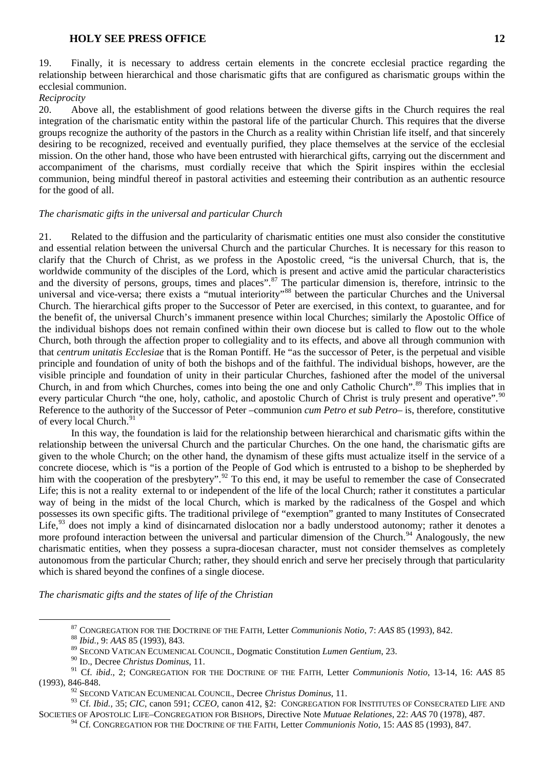19. Finally, it is necessary to address certain elements in the concrete ecclesial practice regarding the relationship between hierarchical and those charismatic gifts that are configured as charismatic groups within the ecclesial communion.

### *Reciprocity*

20. Above all, the establishment of good relations between the diverse gifts in the Church requires the real integration of the charismatic entity within the pastoral life of the particular Church. This requires that the diverse groups recognize the authority of the pastors in the Church as a reality within Christian life itself, and that sincerely desiring to be recognized, received and eventually purified, they place themselves at the service of the ecclesial mission. On the other hand, those who have been entrusted with hierarchical gifts, carrying out the discernment and accompaniment of the charisms, must cordially receive that which the Spirit inspires within the ecclesial communion, being mindful thereof in pastoral activities and esteeming their contribution as an authentic resource for the good of all.

# *The charismatic gifts in the universal and particular Church*

21. Related to the diffusion and the particularity of charismatic entities one must also consider the constitutive and essential relation between the universal Church and the particular Churches. It is necessary for this reason to clarify that the Church of Christ, as we profess in the Apostolic creed, "is the universal Church, that is, the worldwide community of the disciples of the Lord, which is present and active amid the particular characteristics and the diversity of persons, groups, times and places".<sup>[87](#page-11-0)</sup> The particular dimension is, therefore, intrinsic to the universal and vice-versa; there exists a "mutual interiority"<sup>[88](#page-11-1)</sup> between the particular Churches and the Universal Church. The hierarchical gifts proper to the Successor of Peter are exercised, in this context, to guarantee, and for the benefit of, the universal Church's immanent presence within local Churches; similarly the Apostolic Office of the individual bishops does not remain confined within their own diocese but is called to flow out to the whole Church, both through the affection proper to collegiality and to its effects, and above all through communion with that *centrum unitatis Ecclesiae* that is the Roman Pontiff. He "as the successor of Peter, is the perpetual and visible principle and foundation of unity of both the bishops and of the faithful. The individual bishops, however, are the visible principle and foundation of unity in their particular Churches, fashioned after the model of the universal Church, in and from which Churches, comes into being the one and only Catholic Church".<sup>[89](#page-11-2)</sup> This implies that in every particular Church "the one, holy, catholic, and apostolic Church of Christ is truly present and operative".<sup>[90](#page-11-3)</sup> Reference to the authority of the Successor of Peter –communion *cum Petro et sub Petro*– is, therefore, constitutive of every local Church.<sup>[91](#page-11-4)</sup>

In this way, the foundation is laid for the relationship between hierarchical and charismatic gifts within the relationship between the universal Church and the particular Churches. On the one hand, the charismatic gifts are given to the whole Church; on the other hand, the dynamism of these gifts must actualize itself in the service of a concrete diocese, which is "is a portion of the People of God which is entrusted to a bishop to be shepherded by him with the cooperation of the presbytery".<sup>[92](#page-11-5)</sup> To this end, it may be useful to remember the case of Consecrated Life; this is not a reality external to or independent of the life of the local Church; rather it constitutes a particular way of being in the midst of the local Church, which is marked by the radicalness of the Gospel and which possesses its own specific gifts. The traditional privilege of "exemption" granted to many Institutes of Consecrated Life,<sup>[93](#page-11-6)</sup> does not imply a kind of disincarnated dislocation nor a badly understood autonomy; rather it denotes a more profound interaction between the universal and particular dimension of the Church.<sup>[94](#page-11-7)</sup> Analogously, the new charismatic entities, when they possess a supra-diocesan character, must not consider themselves as completely autonomous from the particular Church; rather, they should enrich and serve her precisely through that particularity which is shared beyond the confines of a single diocese.

<span id="page-11-0"></span>*The charismatic gifts and the states of life of the Christian*

<sup>87</sup> CONGREGATION FOR THE DOCTRINE OF THE FAITH, Letter *Communionis Notio*, 7: *AAS* 85 (1993), 842. <sup>88</sup> *Ibid.*, 9: *AAS* 85 (1993), 843.

<sup>89</sup> SECOND VATICAN ECUMENICAL COUNCIL, Dogmatic Constitution *Lumen Gentium*, 23.

<sup>90</sup> ID., Decree *Christus Dominus*, 11.

<span id="page-11-4"></span><span id="page-11-3"></span><span id="page-11-2"></span><span id="page-11-1"></span><sup>91</sup> Cf. *ibid*., 2; CONGREGATION FOR THE DOCTRINE OF THE FAITH, Letter *Communionis Notio*, 13-14, 16: *AAS* 85 (1993), 846-848.

<sup>92</sup> SECOND VATICAN ECUMENICAL COUNCIL, Decree *Christus Dominus*, 11.

<span id="page-11-7"></span><span id="page-11-6"></span><span id="page-11-5"></span><sup>93</sup> Cf. *Ibid.,* 35; *CIC*, canon 591; *CCEO*, canon 412, §2: CONGREGATION FOR INSTITUTES OF CONSECRATED LIFE AND SOCIETIES OF APOSTOLIC LIFE–CONGREGATION FOR BISHOPS, Directive Note *Mutuae Relationes*, 22: *AAS* 70 (1978), 487.

<sup>94</sup> Cf. CONGREGATION FOR THE DOCTRINE OF THE FAITH, Letter *Communionis Notio*, 15: *AAS* 85 (1993), 847.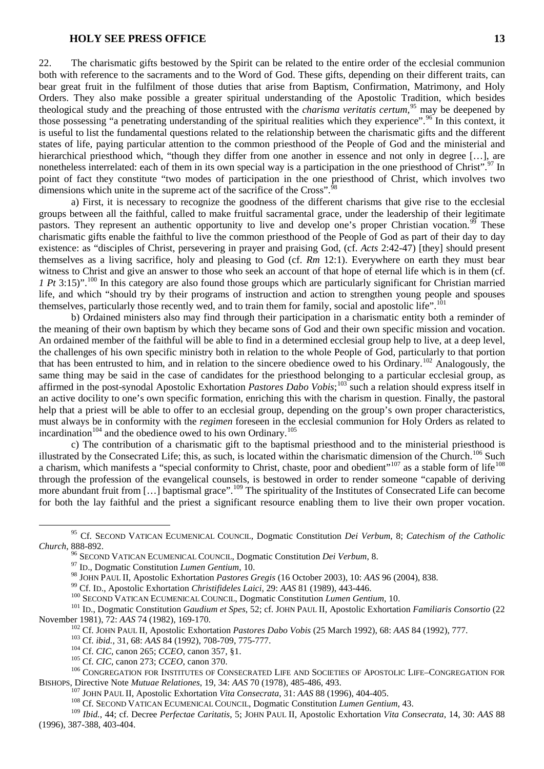22. The charismatic gifts bestowed by the Spirit can be related to the entire order of the ecclesial communion both with reference to the sacraments and to the Word of God. These gifts, depending on their different traits, can bear great fruit in the fulfilment of those duties that arise from Baptism, Confirmation, Matrimony, and Holy Orders. They also make possible a greater spiritual understanding of the Apostolic Tradition, which besides theological study and the preaching of those entrusted with the *charisma veritatis certum,*[95](#page-12-0) may be deepened by those possessing "a penetrating understanding of the spiritual realities which they experience".<sup>[96](#page-12-1)</sup> In this context, it is useful to list the fundamental questions related to the relationship between the charismatic gifts and the different states of life, paying particular attention to the common priesthood of the People of God and the ministerial and hierarchical priesthood which, "though they differ from one another in essence and not only in degree [...], are nonetheless interrelated: each of them in its own special way is a participation in the one priesthood of Christ".<sup>[97](#page-12-2)</sup> In point of fact they constitute "two modes of participation in the one priesthood of Christ, which involves two dimensions which unite in the supreme act of the sacrifice of the Cross".  $98$ 

a) First, it is necessary to recognize the goodness of the different charisms that give rise to the ecclesial groups between all the faithful, called to make fruitful sacramental grace, under the leadership of their legitimate pastors. They represent an authentic opportunity to live and develop one's proper Christian vocation.<sup>[99](#page-12-4)</sup> These charismatic gifts enable the faithful to live the common priesthood of the People of God as part of their day to day existence: as "disciples of Christ, persevering in prayer and praising God, (cf. *Acts* 2:42-47) [they] should present themselves as a living sacrifice, holy and pleasing to God (cf. *Rm* 12:1). Everywhere on earth they must bear witness to Christ and give an answer to those who seek an account of that hope of eternal life which is in them (cf. *1 Pt* 3:15)".<sup>[100](#page-12-5)</sup> In this category are also found those groups which are particularly significant for Christian married life, and which "should try by their programs of instruction and action to strengthen young people and spouses themselves, particularly those recently wed, and to train them for family, social and apostolic life".<sup>[101](#page-12-6)</sup>

b) Ordained ministers also may find through their participation in a charismatic entity both a reminder of the meaning of their own baptism by which they became sons of God and their own specific mission and vocation. An ordained member of the faithful will be able to find in a determined ecclesial group help to live, at a deep level, the challenges of his own specific ministry both in relation to the whole People of God, particularly to that portion that has been entrusted to him, and in relation to the sincere obedience owed to his Ordinary.[102](#page-12-7) Analogously, the same thing may be said in the case of candidates for the priesthood belonging to a particular ecclesial group, as affirmed in the post-synodal Apostolic Exhortation *Pastores Dabo Vobis*;<sup>[103](#page-12-8)</sup> such a relation should express itself in an active docility to one's own specific formation, enriching this with the charism in question. Finally, the pastoral help that a priest will be able to offer to an ecclesial group, depending on the group's own proper characteristics, must always be in conformity with the *regimen* foreseen in the ecclesial communion for Holy Orders as related to incardination<sup>[104](#page-12-9)</sup> and the obedience owed to his own Ordinary.<sup>[105](#page-12-10)</sup>

c) The contribution of a charismatic gift to the baptismal priesthood and to the ministerial priesthood is illustrated by the Consecrated Life; this, as such, is located within the charismatic dimension of the Church.<sup>[106](#page-12-11)</sup> Such a charism, which manifests a "special conformity to Christ, chaste, poor and obedient"<sup>[107](#page-12-12)</sup> as a stable form of life<sup>[108](#page-12-13)</sup> through the profession of the evangelical counsels, is bestowed in order to render someone "capable of deriving more abundant fruit from [...] baptismal grace".<sup>[109](#page-12-14)</sup> The spirituality of the Institutes of Consecrated Life can become for both the lay faithful and the priest a significant resource enabling them to live their own proper vocation.

<span id="page-12-1"></span><span id="page-12-0"></span> <sup>95</sup> Cf. SECOND VATICAN ECUMENICAL COUNCIL, Dogmatic Constitution *Dei Verbum*, 8; *Catechism of the Catholic* 

<sup>&</sup>lt;sup>96</sup> SECOND VATICAN ECUMENICAL COUNCIL, Dogmatic Constitution *Dei Verbum*, 8.<br><sup>97</sup> ID., Dogmatic Constitution *Lumen Gentium*, 10.<br><sup>98</sup> JOHN PAUL II, Apostolic Exhortation *Pastores Gregis* (16 October 2003), 10: AAS 96 (

<span id="page-12-5"></span><span id="page-12-4"></span><span id="page-12-3"></span><span id="page-12-2"></span><sup>&</sup>lt;sup>99</sup> Cf. ID., Apostolic Exhortation Christifideles Laici, 29: AAS 81 (1989), 443-446.<br><sup>100</sup> SECOND VATICAN ECUMENICAL COUNCIL, Dogmatic Constitution *Lumen Gentium*, 10.<br><sup>101</sup> ID., Dogmatic Constitution *Gaudium et Spes*,

<span id="page-12-10"></span><span id="page-12-9"></span><span id="page-12-8"></span><span id="page-12-7"></span><span id="page-12-6"></span><sup>&</sup>lt;sup>102</sup> Cf. JOHN PAUL II, Apostolic Exhortation *Pastores Dabo Vobis* (25 March 1992), 68: *AAS* 84 (1992), 777.<br><sup>103</sup> Cf. *ibid.*, 31, 68: *AAS* 84 (1992), 708-709, 775-777.<br><sup>104</sup> Cf. *CIC*, canon 265; *CCEO*, canon 357, § BISHOPS, Directive Note *Mutuae Relationes*, 19, 34: *AAS* 70 (1978), 485-486, 493.<br><sup>107</sup> JOHN PAUL II, Apostolic Exhortation *Vita Consecrata*, 31: *AAS* 88 (1996), 404-405.<br><sup>108</sup> Cf. SECOND VATICAN ECUMENICAL COUNCIL, Do

<span id="page-12-14"></span><span id="page-12-13"></span><span id="page-12-12"></span><span id="page-12-11"></span><sup>109</sup> *Ibid.*, 44; cf. Decree *Perfectae Caritatis*, 5; JOHN PAUL II, Apostolic Exhortation *Vita Consecrata*, 14, 30: *AAS* 88 (1996), 387-388, 403-404.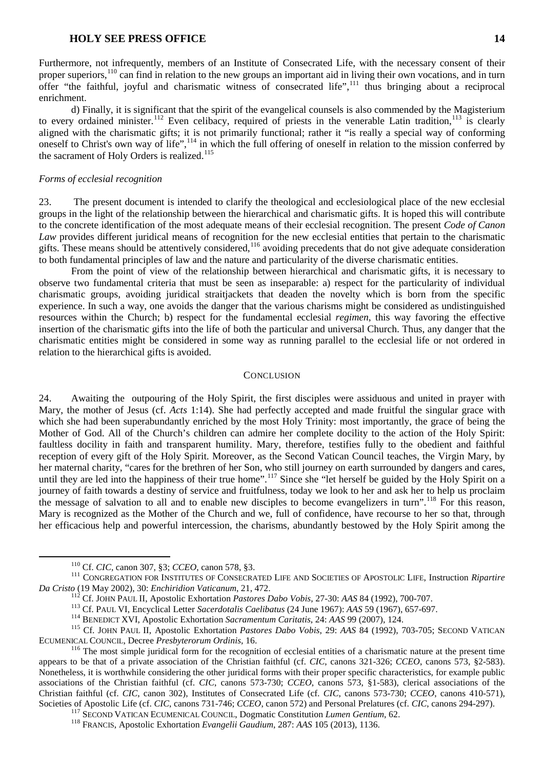Furthermore, not infrequently, members of an Institute of Consecrated Life, with the necessary consent of their proper superiors,<sup>[110](#page-13-0)</sup> can find in relation to the new groups an important aid in living their own vocations, and in turn offer "the faithful, joyful and charismatic witness of consecrated life", $111$  thus bringing about a reciprocal enrichment.

d) Finally, it is significant that the spirit of the evangelical counsels is also commended by the Magisterium to every ordained minister.<sup>[112](#page-13-2)</sup> Even celibacy, required of priests in the venerable Latin tradition,<sup>[113](#page-13-3)</sup> is clearly aligned with the charismatic gifts; it is not primarily functional; rather it "is really a special way of conforming oneself to Christ's own way of life",<sup>[114](#page-13-4)</sup> in which the full offering of oneself in relation to the mission conferred by the sacrament of Holy Orders is realized.<sup>[115](#page-13-5)</sup>

### *Forms of ecclesial recognition*

23. The present document is intended to clarify the theological and ecclesiological place of the new ecclesial groups in the light of the relationship between the hierarchical and charismatic gifts. It is hoped this will contribute to the concrete identification of the most adequate means of their ecclesial recognition. The present *Code of Canon Law* provides different juridical means of recognition for the new ecclesial entities that pertain to the charismatic gifts. These means should be attentively considered,[116](#page-13-6) avoiding precedents that do not give adequate consideration to both fundamental principles of law and the nature and particularity of the diverse charismatic entities.

From the point of view of the relationship between hierarchical and charismatic gifts, it is necessary to observe two fundamental criteria that must be seen as inseparable: a) respect for the particularity of individual charismatic groups, avoiding juridical straitjackets that deaden the novelty which is born from the specific experience. In such a way, one avoids the danger that the various charisms might be considered as undistinguished resources within the Church; b) respect for the fundamental ecclesial *regimen*, this way favoring the effective insertion of the charismatic gifts into the life of both the particular and universal Church. Thus, any danger that the charismatic entities might be considered in some way as running parallel to the ecclesial life or not ordered in relation to the hierarchical gifts is avoided.

#### **CONCLUSION**

24. Awaiting the outpouring of the Holy Spirit, the first disciples were assiduous and united in prayer with Mary, the mother of Jesus (cf. *Acts* 1:14). She had perfectly accepted and made fruitful the singular grace with which she had been superabundantly enriched by the most Holy Trinity: most importantly, the grace of being the Mother of God. All of the Church's children can admire her complete docility to the action of the Holy Spirit: faultless docility in faith and transparent humility. Mary, therefore, testifies fully to the obedient and faithful reception of every gift of the Holy Spirit. Moreover, as the Second Vatican Council teaches, the Virgin Mary, by her maternal charity, "cares for the brethren of her Son, who still journey on earth surrounded by dangers and cares, until they are led into the happiness of their true home".<sup>[117](#page-13-7)</sup> Since she "let herself be guided by the Holy Spirit on a journey of faith towards a destiny of service and fruitfulness, today we look to her and ask her to help us proclaim the message of salvation to all and to enable new disciples to become evangelizers in turn".<sup>[118](#page-13-8)</sup> For this reason, Mary is recognized as the Mother of the Church and we, full of confidence, have recourse to her so that, through her efficacious help and powerful intercession, the charisms, abundantly bestowed by the Holy Spirit among the

<span id="page-13-1"></span><span id="page-13-0"></span><sup>&</sup>lt;sup>110</sup> Cf. *CIC*, canon 307, §3; *CCEO*, canon 578, §3.<br><sup>111</sup> CONGREGATION FOR INSTITUTES OF CONSECRATED LIFE AND SOCIETIES OF APOSTOLIC LIFE, Instruction *Ripartire*<br>*Da Cristo* (19 May 2002), 30: *Enchiridion Vaticanum*,

<span id="page-13-4"></span><span id="page-13-3"></span><span id="page-13-2"></span><sup>&</sup>lt;sup>112</sup> Cf. JOHN PAUL II, Apostolic Exhortation *Pastores Dabo Vobis*, 27-30: AAS 84 (1992), 700-707.<br><sup>113</sup> Cf. PAUL VI, Encyclical Letter *Sacerdotalis Caelibatus* (24 June 1967): AAS 59 (1967), 657-697.<br><sup>114</sup> BENEDICT XVI

<span id="page-13-6"></span><span id="page-13-5"></span><sup>&</sup>lt;sup>116</sup> The most simple juridical form for the recognition of ecclesial entities of a charismatic nature at the present time appears to be that of a private association of the Christian faithful (cf. *CIC*, canons 321-326; *CCEO*, canons 573, §2-583). Nonetheless, it is worthwhile considering the other juridical forms with their proper specific characteristics, for example public associations of the Christian faithful (cf. *CIC*, canons 573-730; *CCEO*, canons 573, §1-583), clerical associations of the Christian faithful (cf. *CIC*, canon 302), Institutes of Consecrated Life (cf. *CIC*, canons 573-730; *CCEO*, canons 410-571), Societies of Apostolic Life (cf. CIC, canons 731-746; CCEO, canon 572) and Personal Prelatures (cf. CIC, canons 294-297).<br><sup>117</sup> SECOND VATICAN ECUMENICAL COUNCIL, Dogmatic Constitution *Lumen Gentium*, 62.<br><sup>118</sup> FRANCIS, A

<span id="page-13-8"></span><span id="page-13-7"></span>